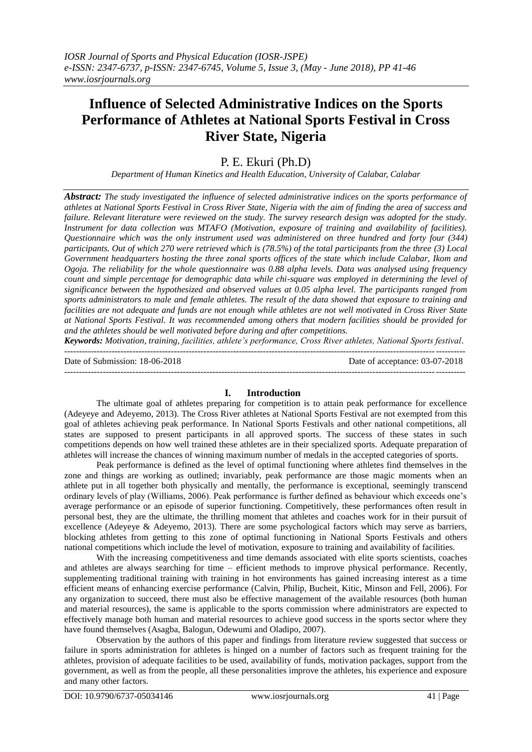# **Influence of Selected Administrative Indices on the Sports Performance of Athletes at National Sports Festival in Cross River State, Nigeria**

## P. E. Ekuri (Ph.D)

*Department of Human Kinetics and Health Education, University of Calabar, Calabar*

*Abstract: The study investigated the influence of selected administrative indices on the sports performance of athletes at National Sports Festival in Cross River State, Nigeria with the aim of finding the area of success and failure. Relevant literature were reviewed on the study. The survey research design was adopted for the study. Instrument for data collection was MTAFO (Motivation, exposure of training and availability of facilities). Questionnaire which was the only instrument used was administered on three hundred and forty four (344) participants. Out of which 270 were retrieved which is (78.5%) of the total participants from the three (3) Local Government headquarters hosting the three zonal sports offices of the state which include Calabar, Ikom and Ogoja. The reliability for the whole questionnaire was 0.88 alpha levels. Data was analysed using frequency count and simple percentage for demographic data while chi-square was employed in determining the level of significance between the hypothesized and observed values at 0.05 alpha level. The participants ranged from sports administrators to male and female athletes. The result of the data showed that exposure to training and facilities are not adequate and funds are not enough while athletes are not well motivated in Cross River State at National Sports Festival. It was recommended among others that modern facilities should be provided for and the athletes should be well motivated before during and after competitions.*

*Keywords: Motivation, training, facilities, athlete's performance, Cross River athletes, National Sports festival*. ---------------------------------------------------------------------------------------------------------------------------------------

Date of Submission: 18-06-2018 Date of acceptance: 03-07-2018

#### ---------------------------------------------------------------------------------------------------------------------------------------

### **I. Introduction**

The ultimate goal of athletes preparing for competition is to attain peak performance for excellence (Adeyeye and Adeyemo, 2013). The Cross River athletes at National Sports Festival are not exempted from this goal of athletes achieving peak performance. In National Sports Festivals and other national competitions, all states are supposed to present participants in all approved sports. The success of these states in such competitions depends on how well trained these athletes are in their specialized sports. Adequate preparation of athletes will increase the chances of winning maximum number of medals in the accepted categories of sports.

Peak performance is defined as the level of optimal functioning where athletes find themselves in the zone and things are working as outlined; invariably, peak performance are those magic moments when an athlete put in all together both physically and mentally, the performance is exceptional, seemingly transcend ordinary levels of play (Williams, 2006). Peak performance is further defined as behaviour which exceeds one"s average performance or an episode of superior functioning. Competitively, these performances often result in personal best, they are the ultimate, the thrilling moment that athletes and coaches work for in their pursuit of excellence (Adeyeye & Adeyemo, 2013). There are some psychological factors which may serve as barriers, blocking athletes from getting to this zone of optimal functioning in National Sports Festivals and others national competitions which include the level of motivation, exposure to training and availability of facilities.

With the increasing competitiveness and time demands associated with elite sports scientists, coaches and athletes are always searching for time – efficient methods to improve physical performance. Recently, supplementing traditional training with training in hot environments has gained increasing interest as a time efficient means of enhancing exercise performance (Calvin, Philip, Bucheit, Kitic, Minson and Fell, 2006). For any organization to succeed, there must also be effective management of the available resources (both human and material resources), the same is applicable to the sports commission where administrators are expected to effectively manage both human and material resources to achieve good success in the sports sector where they have found themselves (Asagba, Balogun, Odewumi and Oladipo, 2007).

Observation by the authors of this paper and findings from literature review suggested that success or failure in sports administration for athletes is hinged on a number of factors such as frequent training for the athletes, provision of adequate facilities to be used, availability of funds, motivation packages, support from the government, as well as from the people, all these personalities improve the athletes, his experience and exposure and many other factors.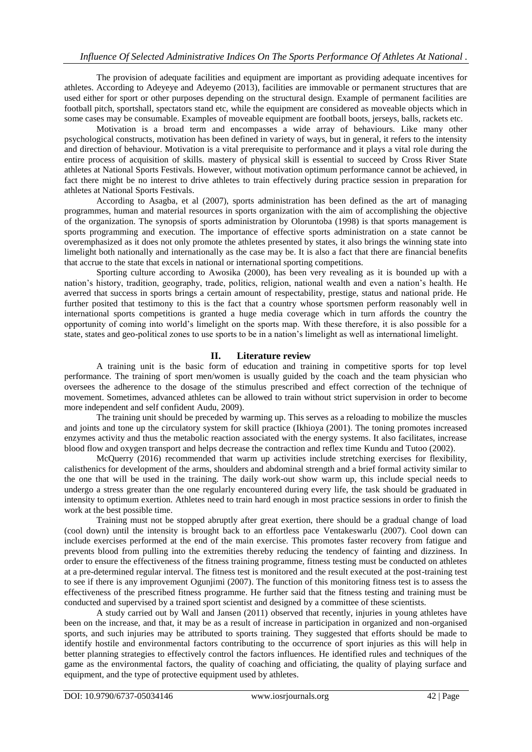The provision of adequate facilities and equipment are important as providing adequate incentives for athletes. According to Adeyeye and Adeyemo (2013), facilities are immovable or permanent structures that are used either for sport or other purposes depending on the structural design. Example of permanent facilities are football pitch, sportshall, spectators stand etc, while the equipment are considered as moveable objects which in some cases may be consumable. Examples of moveable equipment are football boots, jerseys, balls, rackets etc.

Motivation is a broad term and encompasses a wide array of behaviours. Like many other psychological constructs, motivation has been defined in variety of ways, but in general, it refers to the intensity and direction of behaviour. Motivation is a vital prerequisite to performance and it plays a vital role during the entire process of acquisition of skills. mastery of physical skill is essential to succeed by Cross River State athletes at National Sports Festivals. However, without motivation optimum performance cannot be achieved, in fact there might be no interest to drive athletes to train effectively during practice session in preparation for athletes at National Sports Festivals.

According to Asagba, et al (2007), sports administration has been defined as the art of managing programmes, human and material resources in sports organization with the aim of accomplishing the objective of the organization. The synopsis of sports administration by Oloruntoba (1998) is that sports management is sports programming and execution. The importance of effective sports administration on a state cannot be overemphasized as it does not only promote the athletes presented by states, it also brings the winning state into limelight both nationally and internationally as the case may be. It is also a fact that there are financial benefits that accrue to the state that excels in national or international sporting competitions.

Sporting culture according to Awosika (2000), has been very revealing as it is bounded up with a nation"s history, tradition, geography, trade, politics, religion, national wealth and even a nation"s health. He averred that success in sports brings a certain amount of respectability, prestige, status and national pride. He further posited that testimony to this is the fact that a country whose sportsmen perform reasonably well in international sports competitions is granted a huge media coverage which in turn affords the country the opportunity of coming into world"s limelight on the sports map. With these therefore, it is also possible for a state, states and geo-political zones to use sports to be in a nation"s limelight as well as international limelight.

### **II. Literature review**

A training unit is the basic form of education and training in competitive sports for top level performance. The training of sport men/women is usually guided by the coach and the team physician who oversees the adherence to the dosage of the stimulus prescribed and effect correction of the technique of movement. Sometimes, advanced athletes can be allowed to train without strict supervision in order to become more independent and self confident Audu, 2009).

The training unit should be preceded by warming up. This serves as a reloading to mobilize the muscles and joints and tone up the circulatory system for skill practice (Ikhioya (2001). The toning promotes increased enzymes activity and thus the metabolic reaction associated with the energy systems. It also facilitates, increase blood flow and oxygen transport and helps decrease the contraction and reflex time Kundu and Tutoo (2002).

McQuerry (2016) recommended that warm up activities include stretching exercises for flexibility, calisthenics for development of the arms, shoulders and abdominal strength and a brief formal activity similar to the one that will be used in the training. The daily work-out show warm up, this include special needs to undergo a stress greater than the one regularly encountered during every life, the task should be graduated in intensity to optimum exertion. Athletes need to train hard enough in most practice sessions in order to finish the work at the best possible time.

Training must not be stopped abruptly after great exertion, there should be a gradual change of load (cool down) until the intensity is brought back to an effortless pace Ventakeswarlu (2007). Cool down can include exercises performed at the end of the main exercise. This promotes faster recovery from fatigue and prevents blood from pulling into the extremities thereby reducing the tendency of fainting and dizziness. In order to ensure the effectiveness of the fitness training programme, fitness testing must be conducted on athletes at a pre-determined regular interval. The fitness test is monitored and the result executed at the post-training test to see if there is any improvement Ogunjimi (2007). The function of this monitoring fitness test is to assess the effectiveness of the prescribed fitness programme. He further said that the fitness testing and training must be conducted and supervised by a trained sport scientist and designed by a committee of these scientists.

A study carried out by Wall and Jansen (2011) observed that recently, injuries in young athletes have been on the increase, and that, it may be as a result of increase in participation in organized and non-organised sports, and such injuries may be attributed to sports training. They suggested that efforts should be made to identify hostile and environmental factors contributing to the occurrence of sport injuries as this will help in better planning strategies to effectively control the factors influences. He identified rules and techniques of the game as the environmental factors, the quality of coaching and officiating, the quality of playing surface and equipment, and the type of protective equipment used by athletes.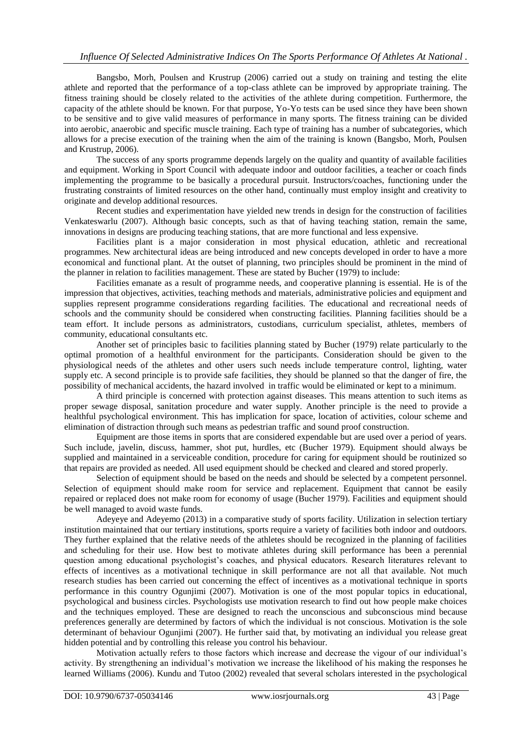Bangsbo, Morh, Poulsen and Krustrup (2006) carried out a study on training and testing the elite athlete and reported that the performance of a top-class athlete can be improved by appropriate training. The fitness training should be closely related to the activities of the athlete during competition. Furthermore, the capacity of the athlete should be known. For that purpose, Yo-Yo tests can be used since they have been shown to be sensitive and to give valid measures of performance in many sports. The fitness training can be divided into aerobic, anaerobic and specific muscle training. Each type of training has a number of subcategories, which allows for a precise execution of the training when the aim of the training is known (Bangsbo, Morh, Poulsen and Krustrup, 2006).

The success of any sports programme depends largely on the quality and quantity of available facilities and equipment. Working in Sport Council with adequate indoor and outdoor facilities, a teacher or coach finds implementing the programme to be basically a procedural pursuit. Instructors/coaches, functioning under the frustrating constraints of limited resources on the other hand, continually must employ insight and creativity to originate and develop additional resources.

Recent studies and experimentation have yielded new trends in design for the construction of facilities Venkateswarlu (2007). Although basic concepts, such as that of having teaching station, remain the same, innovations in designs are producing teaching stations, that are more functional and less expensive.

Facilities plant is a major consideration in most physical education, athletic and recreational programmes. New architectural ideas are being introduced and new concepts developed in order to have a more economical and functional plant. At the outset of planning, two principles should be prominent in the mind of the planner in relation to facilities management. These are stated by Bucher (1979) to include:

Facilities emanate as a result of programme needs, and cooperative planning is essential. He is of the impression that objectives, activities, teaching methods and materials, administrative policies and equipment and supplies represent programme considerations regarding facilities. The educational and recreational needs of schools and the community should be considered when constructing facilities. Planning facilities should be a team effort. It include persons as administrators, custodians, curriculum specialist, athletes, members of community, educational consultants etc.

Another set of principles basic to facilities planning stated by Bucher (1979) relate particularly to the optimal promotion of a healthful environment for the participants. Consideration should be given to the physiological needs of the athletes and other users such needs include temperature control, lighting, water supply etc. A second principle is to provide safe facilities, they should be planned so that the danger of fire, the possibility of mechanical accidents, the hazard involved in traffic would be eliminated or kept to a minimum.

A third principle is concerned with protection against diseases. This means attention to such items as proper sewage disposal, sanitation procedure and water supply. Another principle is the need to provide a healthful psychological environment. This has implication for space, location of activities, colour scheme and elimination of distraction through such means as pedestrian traffic and sound proof construction.

Equipment are those items in sports that are considered expendable but are used over a period of years. Such include, javelin, discuss, hammer, shot put, hurdles, etc (Bucher 1979). Equipment should always be supplied and maintained in a serviceable condition, procedure for caring for equipment should be routinized so that repairs are provided as needed. All used equipment should be checked and cleared and stored properly.

Selection of equipment should be based on the needs and should be selected by a competent personnel. Selection of equipment should make room for service and replacement. Equipment that cannot be easily repaired or replaced does not make room for economy of usage (Bucher 1979). Facilities and equipment should be well managed to avoid waste funds.

Adeyeye and Adeyemo (2013) in a comparative study of sports facility. Utilization in selection tertiary institution maintained that our tertiary institutions, sports require a variety of facilities both indoor and outdoors. They further explained that the relative needs of the athletes should be recognized in the planning of facilities and scheduling for their use. How best to motivate athletes during skill performance has been a perennial question among educational psychologist"s coaches, and physical educators. Research literatures relevant to effects of incentives as a motivational technique in skill performance are not all that available. Not much research studies has been carried out concerning the effect of incentives as a motivational technique in sports performance in this country Ogunjimi (2007). Motivation is one of the most popular topics in educational, psychological and business circles. Psychologists use motivation research to find out how people make choices and the techniques employed. These are designed to reach the unconscious and subconscious mind because preferences generally are determined by factors of which the individual is not conscious. Motivation is the sole determinant of behaviour Ogunjimi (2007). He further said that, by motivating an individual you release great hidden potential and by controlling this release you control his behaviour.

Motivation actually refers to those factors which increase and decrease the vigour of our individual"s activity. By strengthening an individual"s motivation we increase the likelihood of his making the responses he learned Williams (2006). Kundu and Tutoo (2002) revealed that several scholars interested in the psychological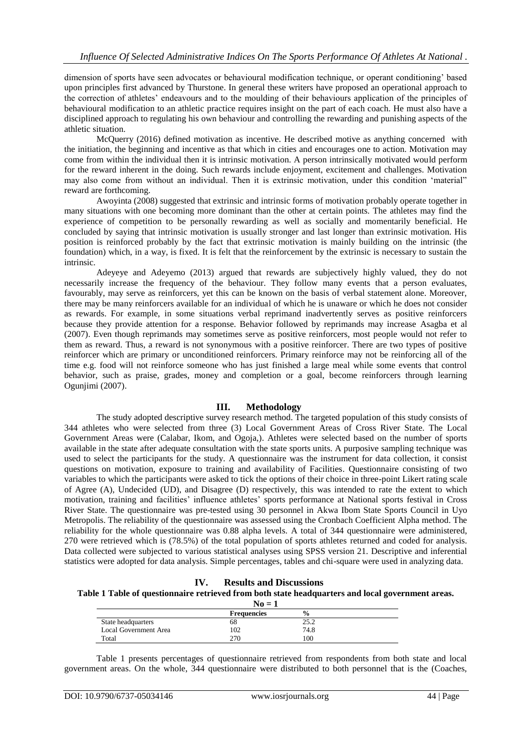dimension of sports have seen advocates or behavioural modification technique, or operant conditioning" based upon principles first advanced by Thurstone. In general these writers have proposed an operational approach to the correction of athletes" endeavours and to the moulding of their behaviours application of the principles of behavioural modification to an athletic practice requires insight on the part of each coach. He must also have a disciplined approach to regulating his own behaviour and controlling the rewarding and punishing aspects of the athletic situation.

McQuerry (2016) defined motivation as incentive. He described motive as anything concerned with the initiation, the beginning and incentive as that which in cities and encourages one to action. Motivation may come from within the individual then it is intrinsic motivation. A person intrinsically motivated would perform for the reward inherent in the doing. Such rewards include enjoyment, excitement and challenges. Motivation may also come from without an individual. Then it is extrinsic motivation, under this condition "material" reward are forthcoming.

Awoyinta (2008) suggested that extrinsic and intrinsic forms of motivation probably operate together in many situations with one becoming more dominant than the other at certain points. The athletes may find the experience of competition to be personally rewarding as well as socially and momentarily beneficial. He concluded by saying that intrinsic motivation is usually stronger and last longer than extrinsic motivation. His position is reinforced probably by the fact that extrinsic motivation is mainly building on the intrinsic (the foundation) which, in a way, is fixed. It is felt that the reinforcement by the extrinsic is necessary to sustain the intrinsic.

Adeyeye and Adeyemo (2013) argued that rewards are subjectively highly valued, they do not necessarily increase the frequency of the behaviour. They follow many events that a person evaluates, favourably, may serve as reinforcers, yet this can be known on the basis of verbal statement alone. Moreover, there may be many reinforcers available for an individual of which he is unaware or which he does not consider as rewards. For example, in some situations verbal reprimand inadvertently serves as positive reinforcers because they provide attention for a response. Behavior followed by reprimands may increase Asagba et al (2007). Even though reprimands may sometimes serve as positive reinforcers, most people would not refer to them as reward. Thus, a reward is not synonymous with a positive reinforcer. There are two types of positive reinforcer which are primary or unconditioned reinforcers. Primary reinforce may not be reinforcing all of the time e.g. food will not reinforce someone who has just finished a large meal while some events that control behavior, such as praise, grades, money and completion or a goal, become reinforcers through learning Ogunjimi (2007).

### **III. Methodology**

The study adopted descriptive survey research method. The targeted population of this study consists of 344 athletes who were selected from three (3) Local Government Areas of Cross River State. The Local Government Areas were (Calabar, Ikom, and Ogoja,). Athletes were selected based on the number of sports available in the state after adequate consultation with the state sports units. A purposive sampling technique was used to select the participants for the study. A questionnaire was the instrument for data collection, it consist questions on motivation, exposure to training and availability of Facilities. Questionnaire consisting of two variables to which the participants were asked to tick the options of their choice in three-point Likert rating scale of Agree (A), Undecided (UD), and Disagree (D) respectively, this was intended to rate the extent to which motivation, training and facilities' influence athletes' sports performance at National sports festival in Cross River State. The questionnaire was pre-tested using 30 personnel in Akwa Ibom State Sports Council in Uyo Metropolis. The reliability of the questionnaire was assessed using the Cronbach Coefficient Alpha method. The reliability for the whole questionnaire was 0.88 alpha levels. A total of 344 questionnaire were administered, 270 were retrieved which is (78.5%) of the total population of sports athletes returned and coded for analysis. Data collected were subjected to various statistical analyses using SPSS version 21. Descriptive and inferential statistics were adopted for data analysis. Simple percentages, tables and chi-square were used in analyzing data.

**IV. Results and Discussions**

|  |  |  | Table 1 Table of questionnaire retrieved from both state headquarters and local government areas |
|--|--|--|--------------------------------------------------------------------------------------------------|
|--|--|--|--------------------------------------------------------------------------------------------------|

| $\mathbf{No} = \mathbf{1}$ |                    |               |  |
|----------------------------|--------------------|---------------|--|
|                            | <b>Frequencies</b> | $\frac{0}{0}$ |  |
| State headquarters         | 68                 | 25.2          |  |
| Local Government Area      | 102                | 74.8          |  |
| Total                      | 270                | 100           |  |

Table 1 presents percentages of questionnaire retrieved from respondents from both state and local government areas. On the whole, 344 questionnaire were distributed to both personnel that is the (Coaches,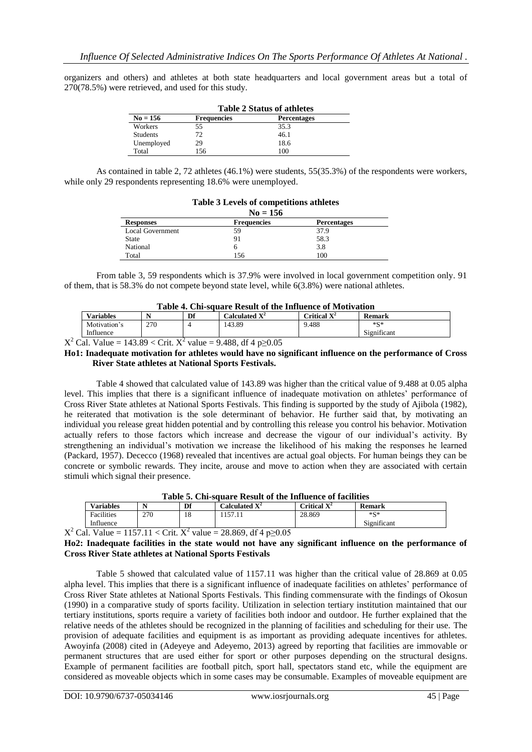organizers and others) and athletes at both state headquarters and local government areas but a total of 270(78.5%) were retrieved, and used for this study.

|                 | <b>Table 2 Status of athletes</b> |                    |  |  |  |
|-----------------|-----------------------------------|--------------------|--|--|--|
| $No = 156$      | <b>Frequencies</b>                | <b>Percentages</b> |  |  |  |
| Workers         | 55                                | 35.3               |  |  |  |
| <b>Students</b> | 72                                | 46.1               |  |  |  |
| Unemployed      | 29                                | 18.6               |  |  |  |
| Total           | 156                               | 100                |  |  |  |

As contained in table 2, 72 athletes (46.1%) were students, 55(35.3%) of the respondents were workers, while only 29 respondents representing 18.6% were unemployed.

| $No = 156$              |                    |                    |  |  |
|-------------------------|--------------------|--------------------|--|--|
| <b>Responses</b>        | <b>Frequencies</b> | <b>Percentages</b> |  |  |
| <b>Local Government</b> | 59                 | 37.9               |  |  |
| <b>State</b>            | 91                 | 58.3               |  |  |
| National                |                    | 3.8                |  |  |
| Total                   | 156                | 100                |  |  |

### **Table 3 Levels of competitions athletes**

From table 3, 59 respondents which is 37.9% were involved in local government competition only. 91 of them, that is 58.3% do not compete beyond state level, while 6(3.8%) were national athletes.

| Table 4. Chi-square Result of the Influence of Motivation |     |    |                  |                |        |
|-----------------------------------------------------------|-----|----|------------------|----------------|--------|
| <b>Variables</b>                                          |     | Df | Calculated $X^2$ | Critical $X^2$ | Remark |
| Motivation's                                              | 270 |    | 143.89           | 9.488          | $*S*$  |

 $X^2$  Cal. Value = 143.89 < Crit.  $X^2$  value = 9.488, df 4 p $\geq$ 0.05

Influence

#### **Ho1: Inadequate motivation for athletes would have no significant influence on the performance of Cross River State athletes at National Sports Festivals.**

Significant

Table 4 showed that calculated value of 143.89 was higher than the critical value of 9.488 at 0.05 alpha level. This implies that there is a significant influence of inadequate motivation on athletes' performance of Cross River State athletes at National Sports Festivals. This finding is supported by the study of Ajibola (1982), he reiterated that motivation is the sole determinant of behavior. He further said that, by motivating an individual you release great hidden potential and by controlling this release you control his behavior. Motivation actually refers to those factors which increase and decrease the vigour of our individual's activity. By strengthening an individual"s motivation we increase the likelihood of his making the responses he learned (Packard, 1957). Dececco (1968) revealed that incentives are actual goal objects. For human beings they can be concrete or symbolic rewards. They incite, arouse and move to action when they are associated with certain stimuli which signal their presence.

| Table 5. Chi-square Result of the Influence of facilities |     |    |                             |                         |             |
|-----------------------------------------------------------|-----|----|-----------------------------|-------------------------|-------------|
| <b>Variables</b>                                          |     | Df | Calculated $\mathbf{X}^2$ . | Critical $\mathbf{X}^2$ | Remark      |
| <b>Facilities</b>                                         | 270 |    | 157.11                      | 28.869                  | $*S*$       |
| Influence                                                 |     |    |                             |                         | Significant |

**Table 5. Chi-square Result of the Influence of facilities**

 $X^2$  Cal. Value = 1157.11 < Crit.  $X^2$  value = 28.869, df 4 p $\geq$ 0.05

**Ho2: Inadequate facilities in the state would not have any significant influence on the performance of Cross River State athletes at National Sports Festivals**

Table 5 showed that calculated value of 1157.11 was higher than the critical value of 28.869 at 0.05 alpha level. This implies that there is a significant influence of inadequate facilities on athletes' performance of Cross River State athletes at National Sports Festivals. This finding commensurate with the findings of Okosun (1990) in a comparative study of sports facility. Utilization in selection tertiary institution maintained that our tertiary institutions, sports require a variety of facilities both indoor and outdoor. He further explained that the relative needs of the athletes should be recognized in the planning of facilities and scheduling for their use. The provision of adequate facilities and equipment is as important as providing adequate incentives for athletes. Awoyinfa (2008) cited in (Adeyeye and Adeyemo, 2013) agreed by reporting that facilities are immovable or permanent structures that are used either for sport or other purposes depending on the structural designs. Example of permanent facilities are football pitch, sport hall, spectators stand etc, while the equipment are considered as moveable objects which in some cases may be consumable. Examples of moveable equipment are